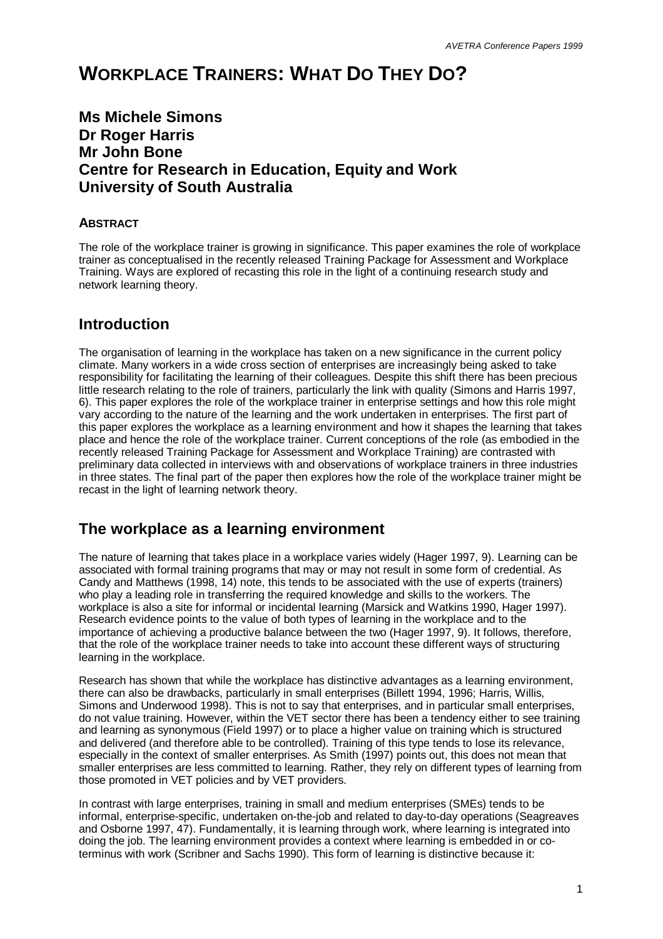# **WORKPLACE TRAINERS: WHAT DO THEY DO?**

## **Ms Michele Simons Dr Roger Harris Mr John Bone Centre for Research in Education, Equity and Work University of South Australia**

### **ABSTRACT**

The role of the workplace trainer is growing in significance. This paper examines the role of workplace trainer as conceptualised in the recently released Training Package for Assessment and Workplace Training. Ways are explored of recasting this role in the light of a continuing research study and network learning theory.

## **Introduction**

The organisation of learning in the workplace has taken on a new significance in the current policy climate. Many workers in a wide cross section of enterprises are increasingly being asked to take responsibility for facilitating the learning of their colleagues. Despite this shift there has been precious little research relating to the role of trainers, particularly the link with quality (Simons and Harris 1997, 6). This paper explores the role of the workplace trainer in enterprise settings and how this role might vary according to the nature of the learning and the work undertaken in enterprises. The first part of this paper explores the workplace as a learning environment and how it shapes the learning that takes place and hence the role of the workplace trainer. Current conceptions of the role (as embodied in the recently released Training Package for Assessment and Workplace Training) are contrasted with preliminary data collected in interviews with and observations of workplace trainers in three industries in three states. The final part of the paper then explores how the role of the workplace trainer might be recast in the light of learning network theory.

## **The workplace as a learning environment**

The nature of learning that takes place in a workplace varies widely (Hager 1997, 9). Learning can be associated with formal training programs that may or may not result in some form of credential. As Candy and Matthews (1998, 14) note, this tends to be associated with the use of experts (trainers) who play a leading role in transferring the required knowledge and skills to the workers. The workplace is also a site for informal or incidental learning (Marsick and Watkins 1990, Hager 1997). Research evidence points to the value of both types of learning in the workplace and to the importance of achieving a productive balance between the two (Hager 1997, 9). It follows, therefore, that the role of the workplace trainer needs to take into account these different ways of structuring learning in the workplace.

Research has shown that while the workplace has distinctive advantages as a learning environment, there can also be drawbacks, particularly in small enterprises (Billett 1994, 1996; Harris, Willis, Simons and Underwood 1998). This is not to say that enterprises, and in particular small enterprises, do not value training. However, within the VET sector there has been a tendency either to see training and learning as synonymous (Field 1997) or to place a higher value on training which is structured and delivered (and therefore able to be controlled). Training of this type tends to lose its relevance, especially in the context of smaller enterprises. As Smith (1997) points out, this does not mean that smaller enterprises are less committed to learning. Rather, they rely on different types of learning from those promoted in VET policies and by VET providers.

In contrast with large enterprises, training in small and medium enterprises (SMEs) tends to be informal, enterprise-specific, undertaken on-the-job and related to day-to-day operations (Seagreaves and Osborne 1997, 47). Fundamentally, it is learning through work, where learning is integrated into doing the job. The learning environment provides a context where learning is embedded in or coterminus with work (Scribner and Sachs 1990). This form of learning is distinctive because it: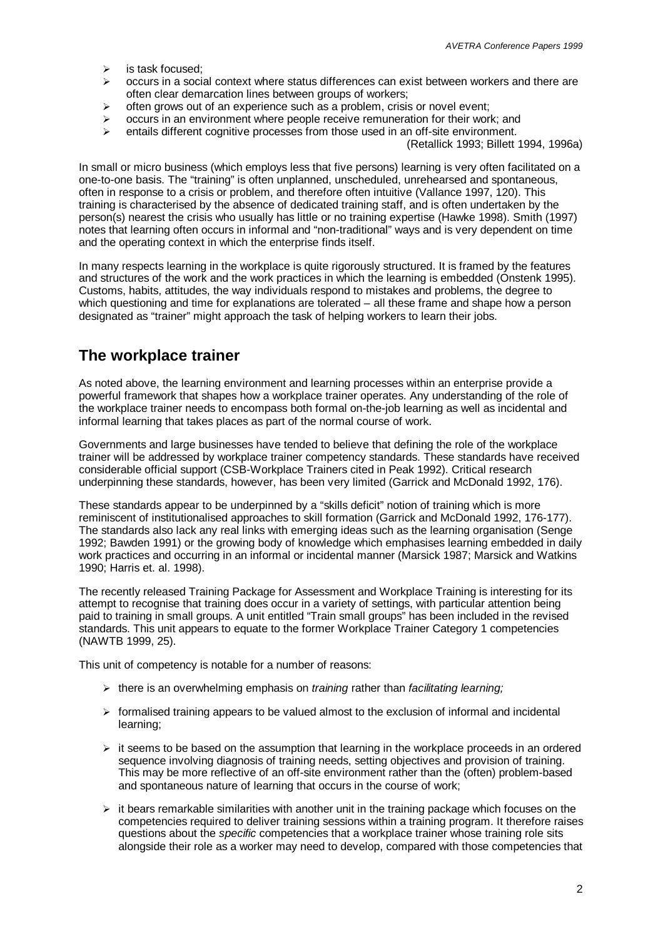- $\geq$  is task focused:
- $\geq$  occurs in a social context where status differences can exist between workers and there are often clear demarcation lines between groups of workers;
- often grows out of an experience such as a problem, crisis or novel event;
- ÿ occurs in an environment where people receive remuneration for their work; and
- $\ge$  entails different cognitive processes from those used in an off-site environment.

(Retallick 1993; Billett 1994, 1996a)

In small or micro business (which employs less that five persons) learning is very often facilitated on a one-to-one basis. The "training" is often unplanned, unscheduled, unrehearsed and spontaneous, often in response to a crisis or problem, and therefore often intuitive (Vallance 1997, 120). This training is characterised by the absence of dedicated training staff, and is often undertaken by the person(s) nearest the crisis who usually has little or no training expertise (Hawke 1998). Smith (1997) notes that learning often occurs in informal and "non-traditional" ways and is very dependent on time and the operating context in which the enterprise finds itself.

In many respects learning in the workplace is quite rigorously structured. It is framed by the features and structures of the work and the work practices in which the learning is embedded (Onstenk 1995). Customs, habits, attitudes, the way individuals respond to mistakes and problems, the degree to which questioning and time for explanations are tolerated – all these frame and shape how a person designated as "trainer" might approach the task of helping workers to learn their jobs.

## **The workplace trainer**

As noted above, the learning environment and learning processes within an enterprise provide a powerful framework that shapes how a workplace trainer operates. Any understanding of the role of the workplace trainer needs to encompass both formal on-the-job learning as well as incidental and informal learning that takes places as part of the normal course of work.

Governments and large businesses have tended to believe that defining the role of the workplace trainer will be addressed by workplace trainer competency standards. These standards have received considerable official support (CSB-Workplace Trainers cited in Peak 1992). Critical research underpinning these standards, however, has been very limited (Garrick and McDonald 1992, 176).

These standards appear to be underpinned by a "skills deficit" notion of training which is more reminiscent of institutionalised approaches to skill formation (Garrick and McDonald 1992, 176-177). The standards also lack any real links with emerging ideas such as the learning organisation (Senge 1992; Bawden 1991) or the growing body of knowledge which emphasises learning embedded in daily work practices and occurring in an informal or incidental manner (Marsick 1987; Marsick and Watkins 1990; Harris et. al. 1998).

The recently released Training Package for Assessment and Workplace Training is interesting for its attempt to recognise that training does occur in a variety of settings, with particular attention being paid to training in small groups. A unit entitled "Train small groups" has been included in the revised standards. This unit appears to equate to the former Workplace Trainer Category 1 competencies (NAWTB 1999, 25).

This unit of competency is notable for a number of reasons:

- ÿ there is an overwhelming emphasis on *training* rather than *facilitating learning;*
- $\triangleright$  formalised training appears to be valued almost to the exclusion of informal and incidental learning;
- $\geq$  it seems to be based on the assumption that learning in the workplace proceeds in an ordered sequence involving diagnosis of training needs, setting objectives and provision of training. This may be more reflective of an off-site environment rather than the (often) problem-based and spontaneous nature of learning that occurs in the course of work;
- $\triangleright$  it bears remarkable similarities with another unit in the training package which focuses on the competencies required to deliver training sessions within a training program. It therefore raises questions about the *specific* competencies that a workplace trainer whose training role sits alongside their role as a worker may need to develop, compared with those competencies that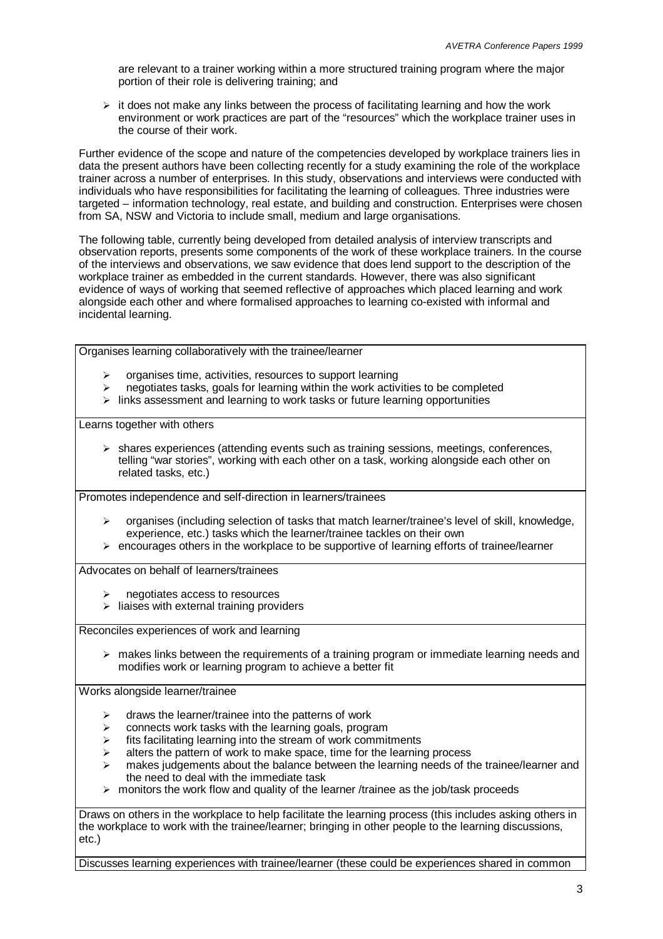are relevant to a trainer working within a more structured training program where the major portion of their role is delivering training; and

 $\triangleright$  it does not make any links between the process of facilitating learning and how the work environment or work practices are part of the "resources" which the workplace trainer uses in the course of their work.

Further evidence of the scope and nature of the competencies developed by workplace trainers lies in data the present authors have been collecting recently for a study examining the role of the workplace trainer across a number of enterprises. In this study, observations and interviews were conducted with individuals who have responsibilities for facilitating the learning of colleagues. Three industries were targeted – information technology, real estate, and building and construction. Enterprises were chosen from SA, NSW and Victoria to include small, medium and large organisations.

The following table, currently being developed from detailed analysis of interview transcripts and observation reports, presents some components of the work of these workplace trainers. In the course of the interviews and observations, we saw evidence that does lend support to the description of the workplace trainer as embedded in the current standards. However, there was also significant evidence of ways of working that seemed reflective of approaches which placed learning and work alongside each other and where formalised approaches to learning co-existed with informal and incidental learning.

Organises learning collaboratively with the trainee/learner

- ÿ organises time, activities, resources to support learning
- ÿ negotiates tasks, goals for learning within the work activities to be completed
- $\triangleright$  links assessment and learning to work tasks or future learning opportunities

Learns together with others

 $\triangleright$  shares experiences (attending events such as training sessions, meetings, conferences, telling "war stories", working with each other on a task, working alongside each other on related tasks, etc.)

Promotes independence and self-direction in learners/trainees

- ÿ organises (including selection of tasks that match learner/trainee's level of skill, knowledge, experience, etc.) tasks which the learner/trainee tackles on their own
- $\triangleright$  encourages others in the workplace to be supportive of learning efforts of trainee/learner

Advocates on behalf of learners/trainees

- ÿ negotiates access to resources
- $\triangleright$  liaises with external training providers

Reconciles experiences of work and learning

 $\triangleright$  makes links between the requirements of a training program or immediate learning needs and modifies work or learning program to achieve a better fit

Works alongside learner/trainee

- $\triangleright$  draws the learner/trainee into the patterns of work
- $\triangleright$  connects work tasks with the learning goals, program
- $\triangleright$  fits facilitating learning into the stream of work commitments
- alters the pattern of work to make space, time for the learning process
- makes judgements about the balance between the learning needs of the trainee/learner and the need to deal with the immediate task
- $\triangleright$  monitors the work flow and quality of the learner /trainee as the job/task proceeds

Draws on others in the workplace to help facilitate the learning process (this includes asking others in the workplace to work with the trainee/learner; bringing in other people to the learning discussions, etc.)

Discusses learning experiences with trainee/learner (these could be experiences shared in common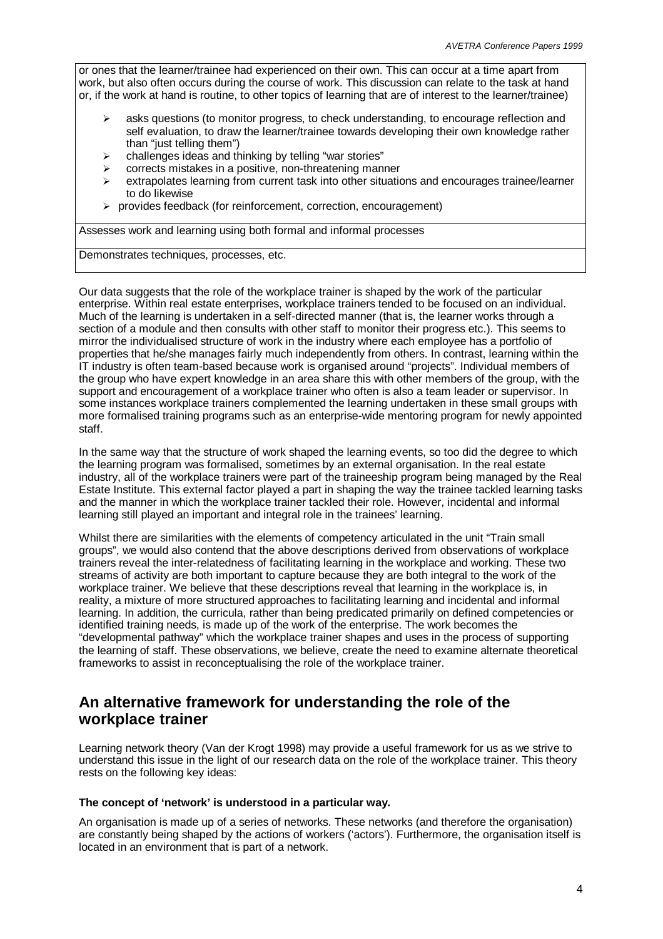or ones that the learner/trainee had experienced on their own. This can occur at a time apart from work, but also often occurs during the course of work. This discussion can relate to the task at hand or, if the work at hand is routine, to other topics of learning that are of interest to the learner/trainee)

- asks questions (to monitor progress, to check understanding, to encourage reflection and self evaluation, to draw the learner/trainee towards developing their own knowledge rather than "just telling them")
- challenges ideas and thinking by telling "war stories"
- corrects mistakes in a positive, non-threatening manner
- extrapolates learning from current task into other situations and encourages trainee/learner to do likewise
- $\triangleright$  provides feedback (for reinforcement, correction, encouragement)

Assesses work and learning using both formal and informal processes

Demonstrates techniques, processes, etc.

Our data suggests that the role of the workplace trainer is shaped by the work of the particular enterprise. Within real estate enterprises, workplace trainers tended to be focused on an individual. Much of the learning is undertaken in a self-directed manner (that is, the learner works through a section of a module and then consults with other staff to monitor their progress etc.). This seems to mirror the individualised structure of work in the industry where each employee has a portfolio of properties that he/she manages fairly much independently from others. In contrast, learning within the IT industry is often team-based because work is organised around "projects". Individual members of the group who have expert knowledge in an area share this with other members of the group, with the support and encouragement of a workplace trainer who often is also a team leader or supervisor. In some instances workplace trainers complemented the learning undertaken in these small groups with more formalised training programs such as an enterprise-wide mentoring program for newly appointed staff.

In the same way that the structure of work shaped the learning events, so too did the degree to which the learning program was formalised, sometimes by an external organisation. In the real estate industry, all of the workplace trainers were part of the traineeship program being managed by the Real Estate Institute. This external factor played a part in shaping the way the trainee tackled learning tasks and the manner in which the workplace trainer tackled their role. However, incidental and informal learning still played an important and integral role in the trainees' learning.

Whilst there are similarities with the elements of competency articulated in the unit "Train small groups", we would also contend that the above descriptions derived from observations of workplace trainers reveal the inter-relatedness of facilitating learning in the workplace and working. These two streams of activity are both important to capture because they are both integral to the work of the workplace trainer. We believe that these descriptions reveal that learning in the workplace is, in reality, a mixture of more structured approaches to facilitating learning and incidental and informal learning. In addition, the curricula, rather than being predicated primarily on defined competencies or identified training needs, is made up of the work of the enterprise. The work becomes the "developmental pathway" which the workplace trainer shapes and uses in the process of supporting the learning of staff. These observations, we believe, create the need to examine alternate theoretical frameworks to assist in reconceptualising the role of the workplace trainer.

## **An alternative framework for understanding the role of the workplace trainer**

Learning network theory (Van der Krogt 1998) may provide a useful framework for us as we strive to understand this issue in the light of our research data on the role of the workplace trainer. This theory rests on the following key ideas:

#### **The concept of 'network' is understood in a particular way.**

An organisation is made up of a series of networks. These networks (and therefore the organisation) are constantly being shaped by the actions of workers ('actors'). Furthermore, the organisation itself is located in an environment that is part of a network.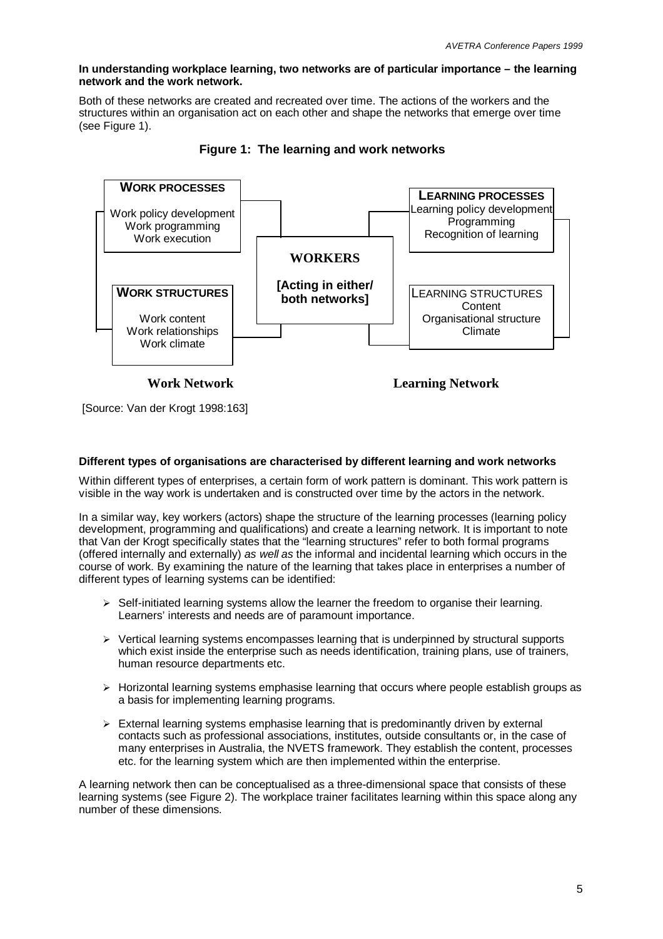#### **In understanding workplace learning, two networks are of particular importance – the learning network and the work network.**

Both of these networks are created and recreated over time. The actions of the workers and the structures within an organisation act on each other and shape the networks that emerge over time (see Figure 1).



**Figure 1: The learning and work networks**

**Work Network Learning Network**

[Source: Van der Krogt 1998:163]

#### **Different types of organisations are characterised by different learning and work networks**

Within different types of enterprises, a certain form of work pattern is dominant. This work pattern is visible in the way work is undertaken and is constructed over time by the actors in the network.

In a similar way, key workers (actors) shape the structure of the learning processes (learning policy development, programming and qualifications) and create a learning network. It is important to note that Van der Krogt specifically states that the "learning structures" refer to both formal programs (offered internally and externally) *as well as* the informal and incidental learning which occurs in the course of work. By examining the nature of the learning that takes place in enterprises a number of different types of learning systems can be identified:

- $\triangleright$  Self-initiated learning systems allow the learner the freedom to organise their learning. Learners' interests and needs are of paramount importance.
- $\triangleright$  Vertical learning systems encompasses learning that is underpinned by structural supports which exist inside the enterprise such as needs identification, training plans, use of trainers, human resource departments etc.
- $\triangleright$  Horizontal learning systems emphasise learning that occurs where people establish groups as a basis for implementing learning programs.
- $\triangleright$  External learning systems emphasise learning that is predominantly driven by external contacts such as professional associations, institutes, outside consultants or, in the case of many enterprises in Australia, the NVETS framework. They establish the content, processes etc. for the learning system which are then implemented within the enterprise.

A learning network then can be conceptualised as a three-dimensional space that consists of these learning systems (see Figure 2). The workplace trainer facilitates learning within this space along any number of these dimensions.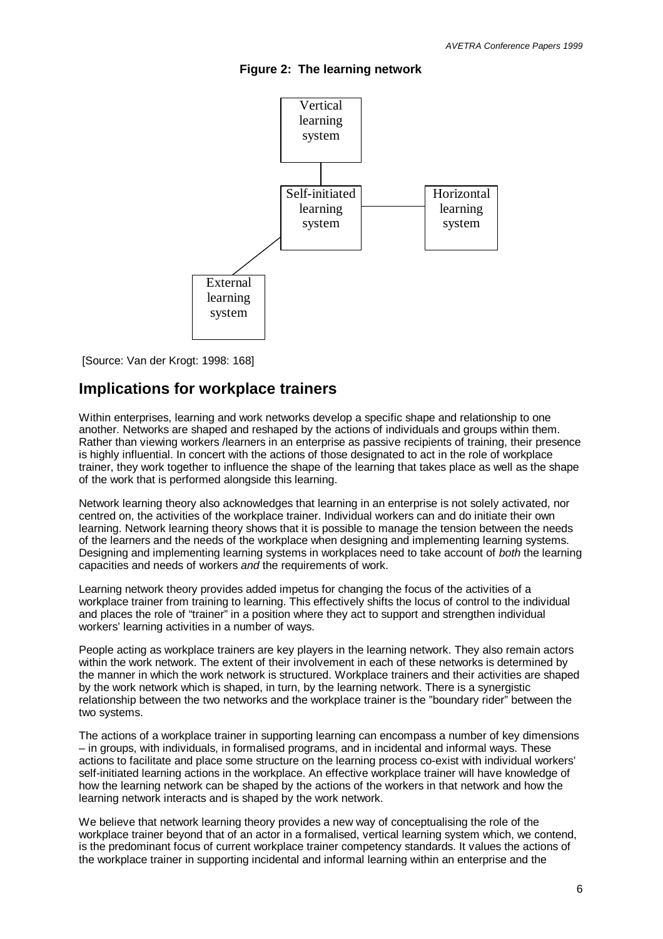



[Source: Van der Krogt: 1998: 168]

### **Implications for workplace trainers**

Within enterprises, learning and work networks develop a specific shape and relationship to one another. Networks are shaped and reshaped by the actions of individuals and groups within them. Rather than viewing workers /learners in an enterprise as passive recipients of training, their presence is highly influential. In concert with the actions of those designated to act in the role of workplace trainer, they work together to influence the shape of the learning that takes place as well as the shape of the work that is performed alongside this learning.

Network learning theory also acknowledges that learning in an enterprise is not solely activated, nor centred on, the activities of the workplace trainer. Individual workers can and do initiate their own learning. Network learning theory shows that it is possible to manage the tension between the needs of the learners and the needs of the workplace when designing and implementing learning systems. Designing and implementing learning systems in workplaces need to take account of *both* the learning capacities and needs of workers *and* the requirements of work.

Learning network theory provides added impetus for changing the focus of the activities of a workplace trainer from training to learning. This effectively shifts the locus of control to the individual and places the role of "trainer" in a position where they act to support and strengthen individual workers' learning activities in a number of ways.

People acting as workplace trainers are key players in the learning network. They also remain actors within the work network. The extent of their involvement in each of these networks is determined by the manner in which the work network is structured. Workplace trainers and their activities are shaped by the work network which is shaped, in turn, by the learning network. There is a synergistic relationship between the two networks and the workplace trainer is the "boundary rider" between the two systems.

The actions of a workplace trainer in supporting learning can encompass a number of key dimensions – in groups, with individuals, in formalised programs, and in incidental and informal ways. These actions to facilitate and place some structure on the learning process co-exist with individual workers' self-initiated learning actions in the workplace. An effective workplace trainer will have knowledge of how the learning network can be shaped by the actions of the workers in that network and how the learning network interacts and is shaped by the work network.

We believe that network learning theory provides a new way of conceptualising the role of the workplace trainer beyond that of an actor in a formalised, vertical learning system which, we contend, is the predominant focus of current workplace trainer competency standards. It values the actions of the workplace trainer in supporting incidental and informal learning within an enterprise and the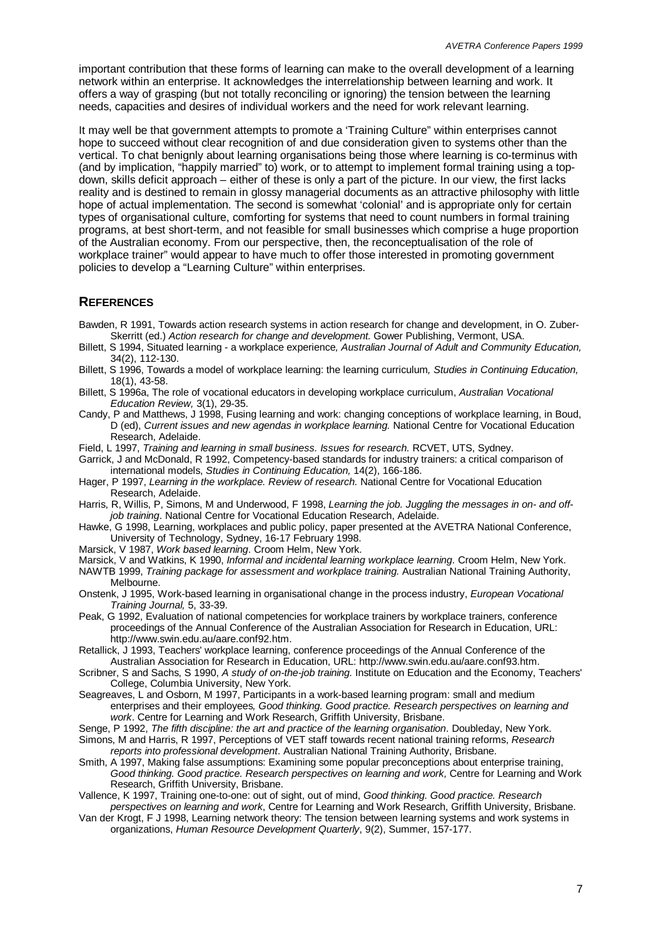important contribution that these forms of learning can make to the overall development of a learning network within an enterprise. It acknowledges the interrelationship between learning and work. It offers a way of grasping (but not totally reconciling or ignoring) the tension between the learning needs, capacities and desires of individual workers and the need for work relevant learning.

It may well be that government attempts to promote a 'Training Culture" within enterprises cannot hope to succeed without clear recognition of and due consideration given to systems other than the vertical. To chat benignly about learning organisations being those where learning is co-terminus with (and by implication, "happily married" to) work, or to attempt to implement formal training using a topdown, skills deficit approach – either of these is only a part of the picture. In our view, the first lacks reality and is destined to remain in glossy managerial documents as an attractive philosophy with little hope of actual implementation. The second is somewhat 'colonial' and is appropriate only for certain types of organisational culture, comforting for systems that need to count numbers in formal training programs, at best short-term, and not feasible for small businesses which comprise a huge proportion of the Australian economy. From our perspective, then, the reconceptualisation of the role of workplace trainer" would appear to have much to offer those interested in promoting government policies to develop a "Learning Culture" within enterprises.

#### **REFERENCES**

- Bawden, R 1991, Towards action research systems in action research for change and development, in O. Zuber-Skerritt (ed.) *Action research for change and development.* Gower Publishing, Vermont, USA.
- Billett, S 1994, Situated learning a workplace experience*, Australian Journal of Adult and Community Education,* 34(2), 112-130.
- Billett, S 1996, Towards a model of workplace learning: the learning curriculum*, Studies in Continuing Education,* 18(1), 43-58.
- Billett, S 1996a, The role of vocational educators in developing workplace curriculum, *Australian Vocational Education Review,* 3(1), 29-35.
- Candy, P and Matthews, J 1998, Fusing learning and work: changing conceptions of workplace learning, in Boud, D (ed), *Current issues and new agendas in workplace learning.* National Centre for Vocational Education Research, Adelaide.
- Field, L 1997, *Training and learning in small business. Issues for research.* RCVET, UTS, Sydney.
- Garrick, J and McDonald, R 1992, Competency-based standards for industry trainers: a critical comparison of international models, *Studies in Continuing Education,* 14(2), 166-186.
- Hager, P 1997, *Learning in the workplace. Review of research.* National Centre for Vocational Education Research, Adelaide.
- Harris, R, Willis, P, Simons, M and Underwood, F 1998, *Learning the job. Juggling the messages in on- and offjob training*. National Centre for Vocational Education Research, Adelaide.
- Hawke, G 1998, Learning, workplaces and public policy, paper presented at the AVETRA National Conference, University of Technology, Sydney, 16-17 February 1998.
- Marsick, V 1987, *Work based learning*. Croom Helm, New York.
- Marsick, V and Watkins, K 1990, *Informal and incidental learning workplace learning*. Croom Helm, New York.
- NAWTB 1999, *Training package for assessment and workplace training.* Australian National Training Authority, Melbourne.
- Onstenk, J 1995, Work-based learning in organisational change in the process industry, *European Vocational Training Journal,* 5, 33-39.
- Peak, G 1992, Evaluation of national competencies for workplace trainers by workplace trainers, conference proceedings of the Annual Conference of the Australian Association for Research in Education, URL: http://www.swin.edu.au/aare.conf92.htm.
- Retallick, J 1993, Teachers' workplace learning, conference proceedings of the Annual Conference of the Australian Association for Research in Education, URL: http://www.swin.edu.au/aare.conf93.htm.
- Scribner, S and Sachs, S 1990, *A study of on-the-job training.* Institute on Education and the Economy, Teachers' College, Columbia University, New York.
- Seagreaves, L and Osborn, M 1997, Participants in a work-based learning program: small and medium enterprises and their employees*, Good thinking. Good practice. Research perspectives on learning and work*. Centre for Learning and Work Research, Griffith University, Brisbane.
- Senge, P 1992, *The fifth discipline: the art and practice of the learning organisation*. Doubleday, New York.
- Simons, M and Harris, R 1997, Perceptions of VET staff towards recent national training reforms, *Research reports into professional development*. Australian National Training Authority, Brisbane.
- Smith, A 1997, Making false assumptions: Examining some popular preconceptions about enterprise training, *Good thinking. Good practice. Research perspectives on learning and work,* Centre for Learning and Work Research, Griffith University, Brisbane.
- Vallence, K 1997, Training one-to-one: out of sight, out of mind, *Good thinking. Good practice. Research perspectives on learning and work*, Centre for Learning and Work Research, Griffith University, Brisbane.
- Van der Krogt, F J 1998, Learning network theory: The tension between learning systems and work systems in organizations, *Human Resource Development Quarterly*, 9(2), Summer, 157-177.